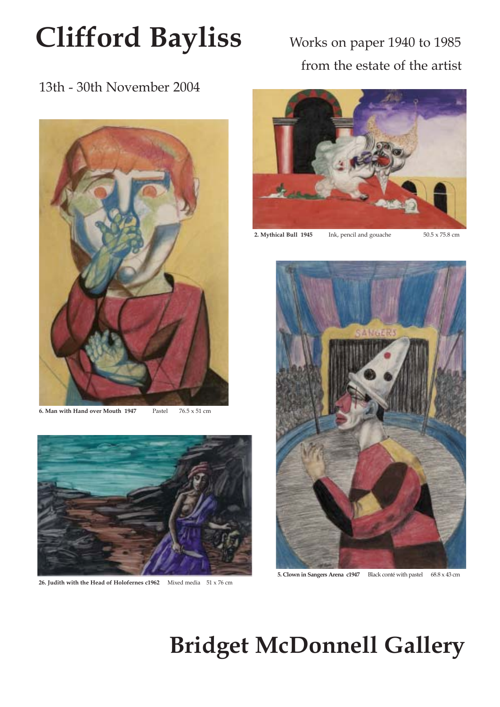## Clifford Bayliss Works on paper 1940 to 1985

# from the estate of the artist

### 13th - 30th November 2004



**6. Man with Hand over Mouth 1947** Pastel 76.5 x 51 cm



**26. Judith with the Head of Holofernes c1962** Mixed media 51 x 76 cm



**2. Mythical Bull 1945** Ink, pencil and gouache 50.5 x 75.8 cm



**5. Clown in Sangers Arena c1947** Black conté with pastel 68.8 x 43 cm

## **Bridget McDonnell Gallery**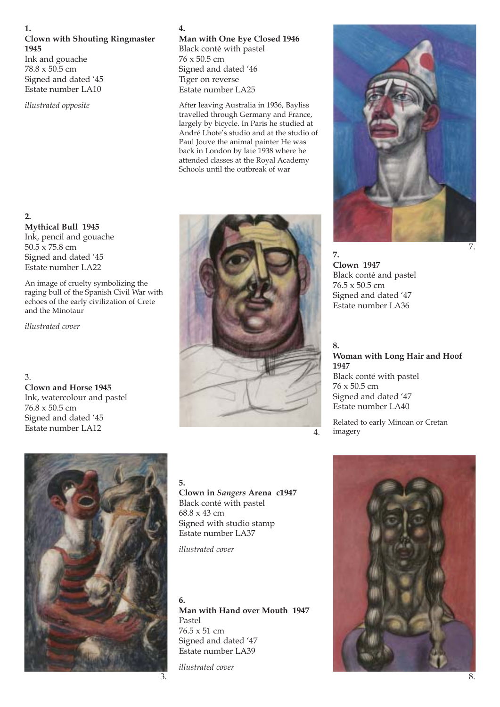#### **1. Clown with Shouting Ringmaster 1945** Ink and gouache 78.8 x 50.5 cm Signed and dated '45

*illustrated opposite*

Estate number LA10

**4.**

**Man with One Eye Closed 1946** Black conté with pastel 76 x 50.5 cm Signed and dated '46 Tiger on reverse Estate number LA25

After leaving Australia in 1936, Bayliss travelled through Germany and France, largely by bicycle. In Paris he studied at André Lhote's studio and at the studio of Paul Jouve the animal painter He was back in London by late 1938 where he attended classes at the Royal Academy Schools until the outbreak of war



**Mythical Bull 1945** Ink, pencil and gouache 50.5 x 75.8 cm Signed and dated '45 Estate number LA22

An image of cruelty symbolizing the raging bull of the Spanish Civil War with echoes of the early civilization of Crete and the Minotaur

*illustrated cover*

3. **Clown and Horse 1945** Ink, watercolour and pastel 76.8 x 50.5 cm Signed and dated '45 Estate number LA12



4.



*illustrated cover*

#### **6.**

**Man with Hand over Mouth 1947** Pastel 76.5 x 51 cm Signed and dated '47 Estate number LA39

*illustrated cover*



**7. Clown 1947** Black conté and pastel 76.5 x 50.5 cm Signed and dated '47 Estate number LA36

**8. Woman with Long Hair and Hoof 1947** Black conté with pastel 76 x 50.5 cm Signed and dated '47 Estate number LA40

Related to early Minoan or Cretan imagery



3.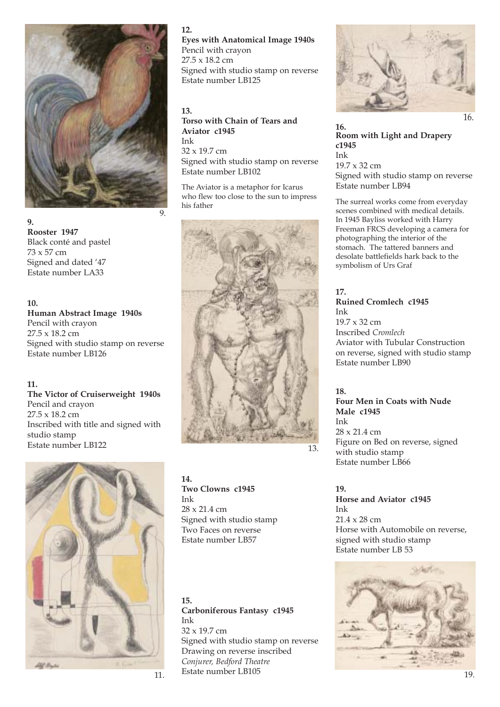

**9. Rooster 1947** Black conté and pastel 73 x 57 cm Signed and dated '47 Estate number LA33

**10. Human Abstract Image 1940s** Pencil with crayon 27.5 x 18.2 cm Signed with studio stamp on reverse Estate number LB126

**11. The Victor of Cruiserweight 1940s** Pencil and crayon 27.5 x 18.2 cm Inscribed with title and signed with studio stamp Estate number LB122



#### **12.**

**Eyes with Anatomical Image 1940s** Pencil with crayon 27.5 x 18.2 cm Signed with studio stamp on reverse Estate number LB125

**13. Torso with Chain of Tears and Aviator c1945** Ink 32 x 19.7 cm Signed with studio stamp on reverse Estate number LB102

The Aviator is a metaphor for Icarus who flew too close to the sun to impress his father



**14. Two Clowns c1945** Ink 28 x 21.4 cm Signed with studio stamp Two Faces on reverse Estate number LB57

#### **15. Carboniferous Fantasy c1945** Ink 32 x 19.7 cm

Signed with studio stamp on reverse Drawing on reverse inscribed *Conjurer, Bedford Theatre* Estate number LB105



**16. Room with Light and Drapery c1945** Ink 19.7 x 32 cm Signed with studio stamp on reverse Estate number LB94

The surreal works come from everyday scenes combined with medical details. In 1945 Bayliss worked with Harry Freeman FRCS developing a camera for photographing the interior of the stomach. The tattered banners and desolate battlefields hark back to the symbolism of Urs Graf

**17. Ruined Cromlech c1945** Ink 19.7 x 32 cm Inscribed *Cromlech*  Aviator with Tubular Construction on reverse, signed with studio stamp Estate number LB90

**18. Four Men in Coats with Nude Male c1945** Ink 28 x 21.4 cm Figure on Bed on reverse, signed with studio stamp Estate number LB66

**19. Horse and Aviator c1945** Ink 21.4 x 28 cm Horse with Automobile on reverse, signed with studio stamp Estate number LB 53

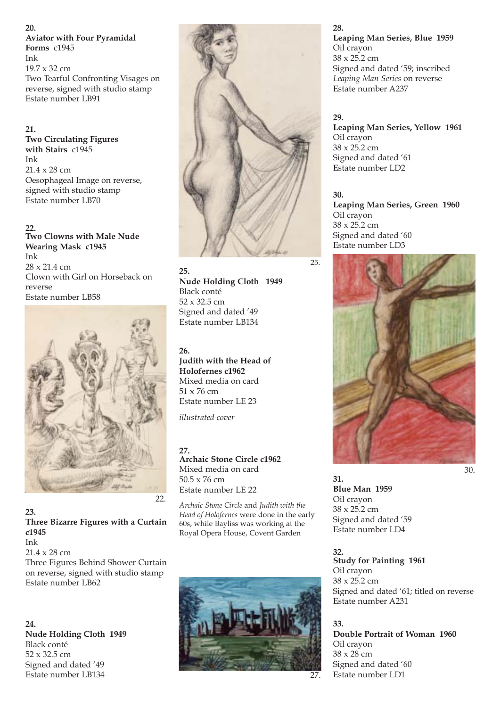**20. Aviator with Four Pyramidal Forms** c1945 Ink 19.7 x 32 cm Two Tearful Confronting Visages on reverse, signed with studio stamp Estate number LB91

#### **21.**

**Two Circulating Figures with Stairs** c1945 Ink 21.4 x 28 cm Oesophageal Image on reverse, signed with studio stamp Estate number LB70

#### **22.**

**Two Clowns with Male Nude Wearing Mask c1945** Ink 28 x 21.4 cm Clown with Girl on Horseback on reverse Estate number LB58



**23.**

**Three Bizarre Figures with a Curtain c1945** Ink 21.4 x 28 cm

Three Figures Behind Shower Curtain on reverse, signed with studio stamp Estate number LB62

**24. Nude Holding Cloth 1949** Black conté 52 x 32.5 cm Signed and dated '49 Estate number LB134



**25. Nude Holding Cloth 1949** Black conté 52 x 32.5 cm Signed and dated '49 Estate number LB134

**26. Judith with the Head of Holofernes c1962** Mixed media on card 51 x 76 cm

Estate number LE 23

*illustrated cover*

#### **27.**

**Archaic Stone Circle c1962** Mixed media on card 50.5 x 76 cm Estate number LE 22

*Archaic Stone Circle* and *Judith with the Head of Holofernes* were done in the early 60s, while Bayliss was working at the Royal Opera House, Covent Garden



**28.**

**Leaping Man Series, Blue 1959** Oil crayon 38 x 25.2 cm Signed and dated '59; inscribed *Leaping Man Series* on reverse Estate number A237

#### **29.**

**Leaping Man Series, Yellow 1961** Oil crayon 38 x 25.2 cm Signed and dated '61 Estate number LD2

#### **30.**

**Leaping Man Series, Green 1960** Oil crayon 38 x 25.2 cm Signed and dated '60 Estate number LD3



**31. Blue Man 1959** Oil crayon 38 x 25.2 cm Signed and dated '59 Estate number LD4

**32. Study for Painting 1961**  Oil crayon 38 x 25.2 cm Signed and dated '61; titled on reverse Estate number A231

**33.**

**Double Portrait of Woman 1960**  Oil crayon 38 x 28 cm Signed and dated '60 Estate number LD1